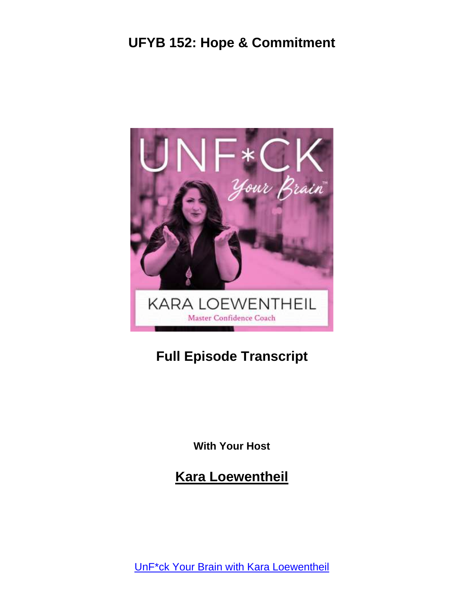

# **Full Episode Transcript**

**With Your Host**

**Kara Loewentheil**

UnF\*ck Your Brain with Kara [Loewentheil](https://unfuckyourbrain.com/podcast/)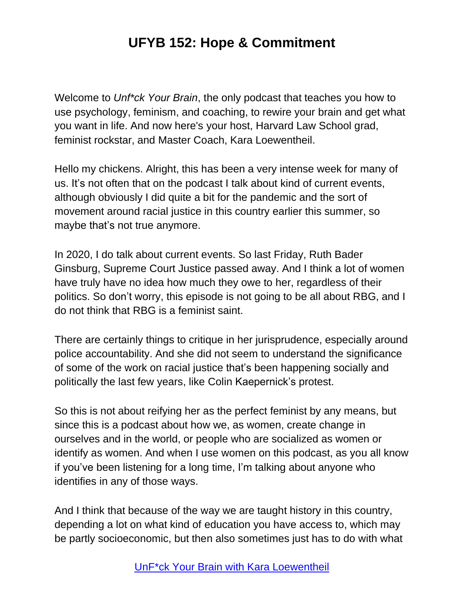Welcome to *Unf\*ck Your Brain*, the only podcast that teaches you how to use psychology, feminism, and coaching, to rewire your brain and get what you want in life. And now here's your host, Harvard Law School grad, feminist rockstar, and Master Coach, Kara Loewentheil.

Hello my chickens. Alright, this has been a very intense week for many of us. It's not often that on the podcast I talk about kind of current events, although obviously I did quite a bit for the pandemic and the sort of movement around racial justice in this country earlier this summer, so maybe that's not true anymore.

In 2020, I do talk about current events. So last Friday, Ruth Bader Ginsburg, Supreme Court Justice passed away. And I think a lot of women have truly have no idea how much they owe to her, regardless of their politics. So don't worry, this episode is not going to be all about RBG, and I do not think that RBG is a feminist saint.

There are certainly things to critique in her jurisprudence, especially around police accountability. And she did not seem to understand the significance of some of the work on racial justice that's been happening socially and politically the last few years, like Colin Kaepernick's protest.

So this is not about reifying her as the perfect feminist by any means, but since this is a podcast about how we, as women, create change in ourselves and in the world, or people who are socialized as women or identify as women. And when I use women on this podcast, as you all know if you've been listening for a long time, I'm talking about anyone who identifies in any of those ways.

And I think that because of the way we are taught history in this country, depending a lot on what kind of education you have access to, which may be partly socioeconomic, but then also sometimes just has to do with what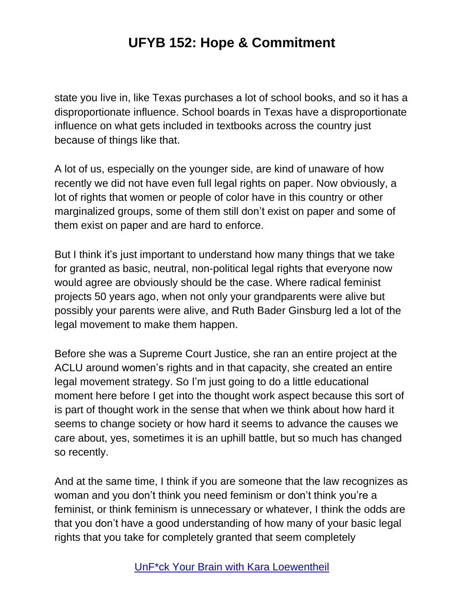state you live in, like Texas purchases a lot of school books, and so it has a disproportionate influence. School boards in Texas have a disproportionate influence on what gets included in textbooks across the country just because of things like that.

A lot of us, especially on the younger side, are kind of unaware of how recently we did not have even full legal rights on paper. Now obviously, a lot of rights that women or people of color have in this country or other marginalized groups, some of them still don't exist on paper and some of them exist on paper and are hard to enforce.

But I think it's just important to understand how many things that we take for granted as basic, neutral, non-political legal rights that everyone now would agree are obviously should be the case. Where radical feminist projects 50 years ago, when not only your grandparents were alive but possibly your parents were alive, and Ruth Bader Ginsburg led a lot of the legal movement to make them happen.

Before she was a Supreme Court Justice, she ran an entire project at the ACLU around women's rights and in that capacity, she created an entire legal movement strategy. So I'm just going to do a little educational moment here before I get into the thought work aspect because this sort of is part of thought work in the sense that when we think about how hard it seems to change society or how hard it seems to advance the causes we care about, yes, sometimes it is an uphill battle, but so much has changed so recently.

And at the same time, I think if you are someone that the law recognizes as woman and you don't think you need feminism or don't think you're a feminist, or think feminism is unnecessary or whatever, I think the odds are that you don't have a good understanding of how many of your basic legal rights that you take for completely granted that seem completely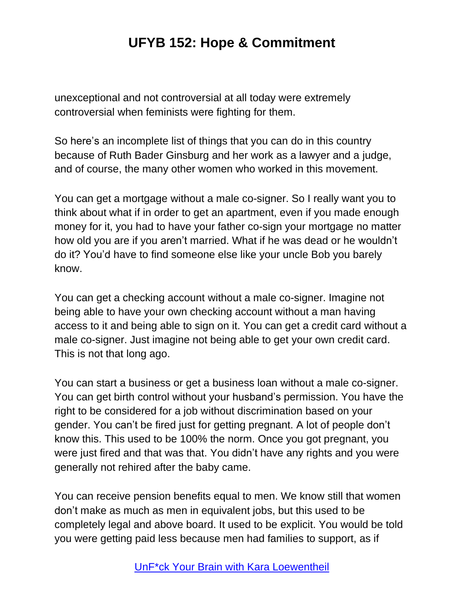unexceptional and not controversial at all today were extremely controversial when feminists were fighting for them.

So here's an incomplete list of things that you can do in this country because of Ruth Bader Ginsburg and her work as a lawyer and a judge, and of course, the many other women who worked in this movement.

You can get a mortgage without a male co-signer. So I really want you to think about what if in order to get an apartment, even if you made enough money for it, you had to have your father co-sign your mortgage no matter how old you are if you aren't married. What if he was dead or he wouldn't do it? You'd have to find someone else like your uncle Bob you barely know.

You can get a checking account without a male co-signer. Imagine not being able to have your own checking account without a man having access to it and being able to sign on it. You can get a credit card without a male co-signer. Just imagine not being able to get your own credit card. This is not that long ago.

You can start a business or get a business loan without a male co-signer. You can get birth control without your husband's permission. You have the right to be considered for a job without discrimination based on your gender. You can't be fired just for getting pregnant. A lot of people don't know this. This used to be 100% the norm. Once you got pregnant, you were just fired and that was that. You didn't have any rights and you were generally not rehired after the baby came.

You can receive pension benefits equal to men. We know still that women don't make as much as men in equivalent jobs, but this used to be completely legal and above board. It used to be explicit. You would be told you were getting paid less because men had families to support, as if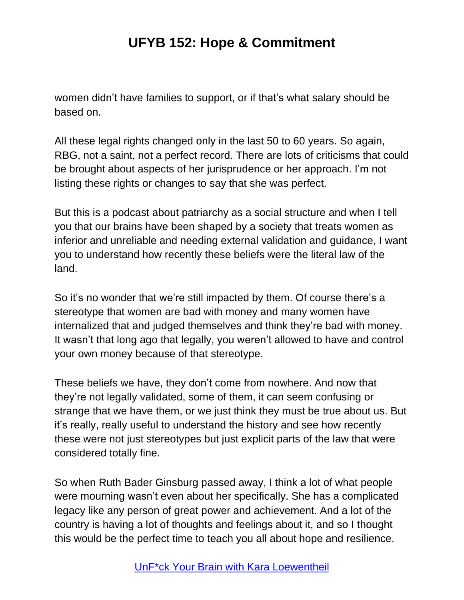women didn't have families to support, or if that's what salary should be based on.

All these legal rights changed only in the last 50 to 60 years. So again, RBG, not a saint, not a perfect record. There are lots of criticisms that could be brought about aspects of her jurisprudence or her approach. I'm not listing these rights or changes to say that she was perfect.

But this is a podcast about patriarchy as a social structure and when I tell you that our brains have been shaped by a society that treats women as inferior and unreliable and needing external validation and guidance, I want you to understand how recently these beliefs were the literal law of the land.

So it's no wonder that we're still impacted by them. Of course there's a stereotype that women are bad with money and many women have internalized that and judged themselves and think they're bad with money. It wasn't that long ago that legally, you weren't allowed to have and control your own money because of that stereotype.

These beliefs we have, they don't come from nowhere. And now that they're not legally validated, some of them, it can seem confusing or strange that we have them, or we just think they must be true about us. But it's really, really useful to understand the history and see how recently these were not just stereotypes but just explicit parts of the law that were considered totally fine.

So when Ruth Bader Ginsburg passed away, I think a lot of what people were mourning wasn't even about her specifically. She has a complicated legacy like any person of great power and achievement. And a lot of the country is having a lot of thoughts and feelings about it, and so I thought this would be the perfect time to teach you all about hope and resilience.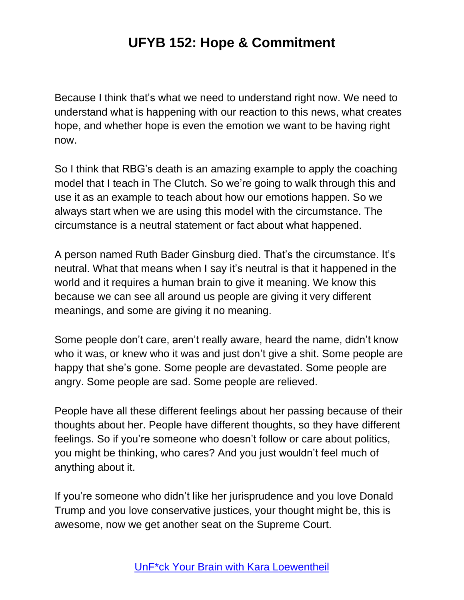Because I think that's what we need to understand right now. We need to understand what is happening with our reaction to this news, what creates hope, and whether hope is even the emotion we want to be having right now.

So I think that RBG's death is an amazing example to apply the coaching model that I teach in The Clutch. So we're going to walk through this and use it as an example to teach about how our emotions happen. So we always start when we are using this model with the circumstance. The circumstance is a neutral statement or fact about what happened.

A person named Ruth Bader Ginsburg died. That's the circumstance. It's neutral. What that means when I say it's neutral is that it happened in the world and it requires a human brain to give it meaning. We know this because we can see all around us people are giving it very different meanings, and some are giving it no meaning.

Some people don't care, aren't really aware, heard the name, didn't know who it was, or knew who it was and just don't give a shit. Some people are happy that she's gone. Some people are devastated. Some people are angry. Some people are sad. Some people are relieved.

People have all these different feelings about her passing because of their thoughts about her. People have different thoughts, so they have different feelings. So if you're someone who doesn't follow or care about politics, you might be thinking, who cares? And you just wouldn't feel much of anything about it.

If you're someone who didn't like her jurisprudence and you love Donald Trump and you love conservative justices, your thought might be, this is awesome, now we get another seat on the Supreme Court.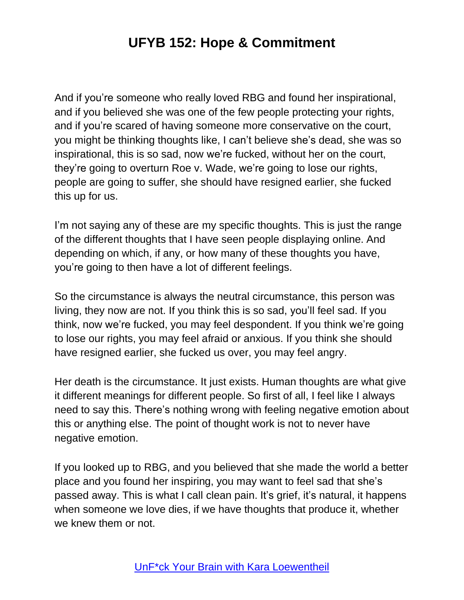And if you're someone who really loved RBG and found her inspirational, and if you believed she was one of the few people protecting your rights, and if you're scared of having someone more conservative on the court, you might be thinking thoughts like, I can't believe she's dead, she was so inspirational, this is so sad, now we're fucked, without her on the court, they're going to overturn Roe v. Wade, we're going to lose our rights, people are going to suffer, she should have resigned earlier, she fucked this up for us.

I'm not saying any of these are my specific thoughts. This is just the range of the different thoughts that I have seen people displaying online. And depending on which, if any, or how many of these thoughts you have, you're going to then have a lot of different feelings.

So the circumstance is always the neutral circumstance, this person was living, they now are not. If you think this is so sad, you'll feel sad. If you think, now we're fucked, you may feel despondent. If you think we're going to lose our rights, you may feel afraid or anxious. If you think she should have resigned earlier, she fucked us over, you may feel angry.

Her death is the circumstance. It just exists. Human thoughts are what give it different meanings for different people. So first of all, I feel like I always need to say this. There's nothing wrong with feeling negative emotion about this or anything else. The point of thought work is not to never have negative emotion.

If you looked up to RBG, and you believed that she made the world a better place and you found her inspiring, you may want to feel sad that she's passed away. This is what I call clean pain. It's grief, it's natural, it happens when someone we love dies, if we have thoughts that produce it, whether we knew them or not.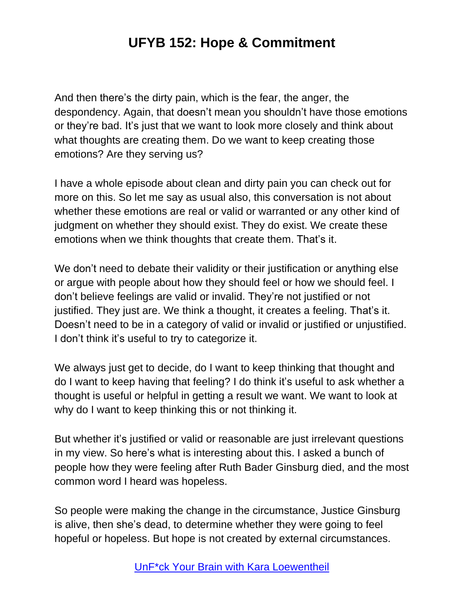And then there's the dirty pain, which is the fear, the anger, the despondency. Again, that doesn't mean you shouldn't have those emotions or they're bad. It's just that we want to look more closely and think about what thoughts are creating them. Do we want to keep creating those emotions? Are they serving us?

I have a whole episode about clean and dirty pain you can check out for more on this. So let me say as usual also, this conversation is not about whether these emotions are real or valid or warranted or any other kind of judgment on whether they should exist. They do exist. We create these emotions when we think thoughts that create them. That's it.

We don't need to debate their validity or their justification or anything else or argue with people about how they should feel or how we should feel. I don't believe feelings are valid or invalid. They're not justified or not justified. They just are. We think a thought, it creates a feeling. That's it. Doesn't need to be in a category of valid or invalid or justified or unjustified. I don't think it's useful to try to categorize it.

We always just get to decide, do I want to keep thinking that thought and do I want to keep having that feeling? I do think it's useful to ask whether a thought is useful or helpful in getting a result we want. We want to look at why do I want to keep thinking this or not thinking it.

But whether it's justified or valid or reasonable are just irrelevant questions in my view. So here's what is interesting about this. I asked a bunch of people how they were feeling after Ruth Bader Ginsburg died, and the most common word I heard was hopeless.

So people were making the change in the circumstance, Justice Ginsburg is alive, then she's dead, to determine whether they were going to feel hopeful or hopeless. But hope is not created by external circumstances.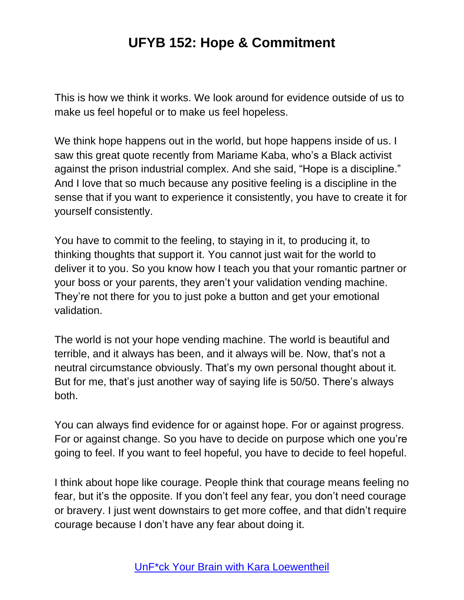This is how we think it works. We look around for evidence outside of us to make us feel hopeful or to make us feel hopeless.

We think hope happens out in the world, but hope happens inside of us. I saw this great quote recently from Mariame Kaba, who's a Black activist against the prison industrial complex. And she said, "Hope is a discipline." And I love that so much because any positive feeling is a discipline in the sense that if you want to experience it consistently, you have to create it for yourself consistently.

You have to commit to the feeling, to staying in it, to producing it, to thinking thoughts that support it. You cannot just wait for the world to deliver it to you. So you know how I teach you that your romantic partner or your boss or your parents, they aren't your validation vending machine. They're not there for you to just poke a button and get your emotional validation.

The world is not your hope vending machine. The world is beautiful and terrible, and it always has been, and it always will be. Now, that's not a neutral circumstance obviously. That's my own personal thought about it. But for me, that's just another way of saying life is 50/50. There's always both.

You can always find evidence for or against hope. For or against progress. For or against change. So you have to decide on purpose which one you're going to feel. If you want to feel hopeful, you have to decide to feel hopeful.

I think about hope like courage. People think that courage means feeling no fear, but it's the opposite. If you don't feel any fear, you don't need courage or bravery. I just went downstairs to get more coffee, and that didn't require courage because I don't have any fear about doing it.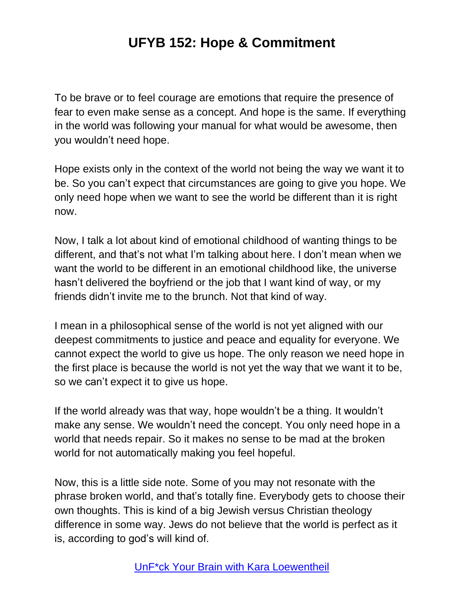To be brave or to feel courage are emotions that require the presence of fear to even make sense as a concept. And hope is the same. If everything in the world was following your manual for what would be awesome, then you wouldn't need hope.

Hope exists only in the context of the world not being the way we want it to be. So you can't expect that circumstances are going to give you hope. We only need hope when we want to see the world be different than it is right now.

Now, I talk a lot about kind of emotional childhood of wanting things to be different, and that's not what I'm talking about here. I don't mean when we want the world to be different in an emotional childhood like, the universe hasn't delivered the boyfriend or the job that I want kind of way, or my friends didn't invite me to the brunch. Not that kind of way.

I mean in a philosophical sense of the world is not yet aligned with our deepest commitments to justice and peace and equality for everyone. We cannot expect the world to give us hope. The only reason we need hope in the first place is because the world is not yet the way that we want it to be, so we can't expect it to give us hope.

If the world already was that way, hope wouldn't be a thing. It wouldn't make any sense. We wouldn't need the concept. You only need hope in a world that needs repair. So it makes no sense to be mad at the broken world for not automatically making you feel hopeful.

Now, this is a little side note. Some of you may not resonate with the phrase broken world, and that's totally fine. Everybody gets to choose their own thoughts. This is kind of a big Jewish versus Christian theology difference in some way. Jews do not believe that the world is perfect as it is, according to god's will kind of.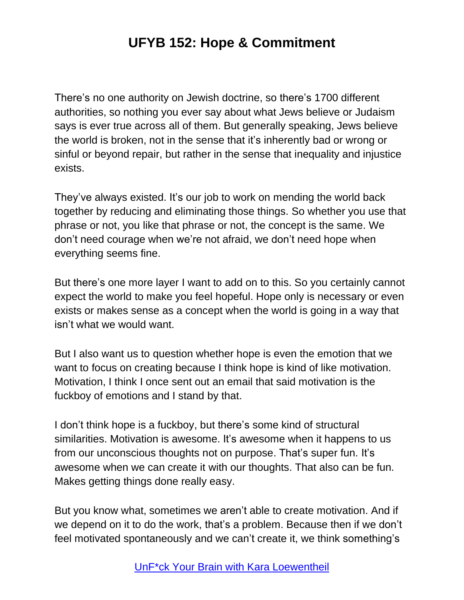There's no one authority on Jewish doctrine, so there's 1700 different authorities, so nothing you ever say about what Jews believe or Judaism says is ever true across all of them. But generally speaking, Jews believe the world is broken, not in the sense that it's inherently bad or wrong or sinful or beyond repair, but rather in the sense that inequality and injustice exists.

They've always existed. It's our job to work on mending the world back together by reducing and eliminating those things. So whether you use that phrase or not, you like that phrase or not, the concept is the same. We don't need courage when we're not afraid, we don't need hope when everything seems fine.

But there's one more layer I want to add on to this. So you certainly cannot expect the world to make you feel hopeful. Hope only is necessary or even exists or makes sense as a concept when the world is going in a way that isn't what we would want.

But I also want us to question whether hope is even the emotion that we want to focus on creating because I think hope is kind of like motivation. Motivation, I think I once sent out an email that said motivation is the fuckboy of emotions and I stand by that.

I don't think hope is a fuckboy, but there's some kind of structural similarities. Motivation is awesome. It's awesome when it happens to us from our unconscious thoughts not on purpose. That's super fun. It's awesome when we can create it with our thoughts. That also can be fun. Makes getting things done really easy.

But you know what, sometimes we aren't able to create motivation. And if we depend on it to do the work, that's a problem. Because then if we don't feel motivated spontaneously and we can't create it, we think something's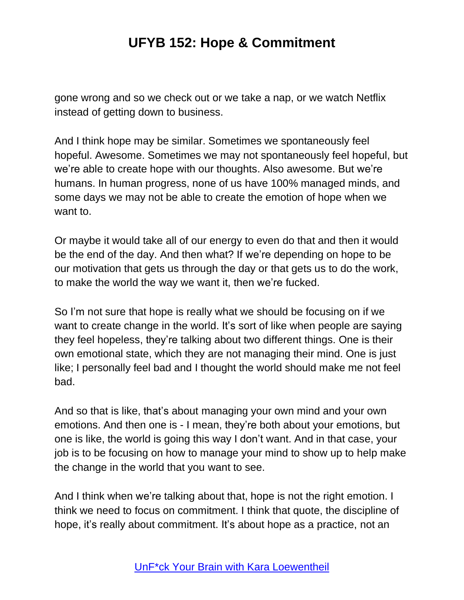gone wrong and so we check out or we take a nap, or we watch Netflix instead of getting down to business.

And I think hope may be similar. Sometimes we spontaneously feel hopeful. Awesome. Sometimes we may not spontaneously feel hopeful, but we're able to create hope with our thoughts. Also awesome. But we're humans. In human progress, none of us have 100% managed minds, and some days we may not be able to create the emotion of hope when we want to.

Or maybe it would take all of our energy to even do that and then it would be the end of the day. And then what? If we're depending on hope to be our motivation that gets us through the day or that gets us to do the work, to make the world the way we want it, then we're fucked.

So I'm not sure that hope is really what we should be focusing on if we want to create change in the world. It's sort of like when people are saying they feel hopeless, they're talking about two different things. One is their own emotional state, which they are not managing their mind. One is just like; I personally feel bad and I thought the world should make me not feel bad.

And so that is like, that's about managing your own mind and your own emotions. And then one is - I mean, they're both about your emotions, but one is like, the world is going this way I don't want. And in that case, your job is to be focusing on how to manage your mind to show up to help make the change in the world that you want to see.

And I think when we're talking about that, hope is not the right emotion. I think we need to focus on commitment. I think that quote, the discipline of hope, it's really about commitment. It's about hope as a practice, not an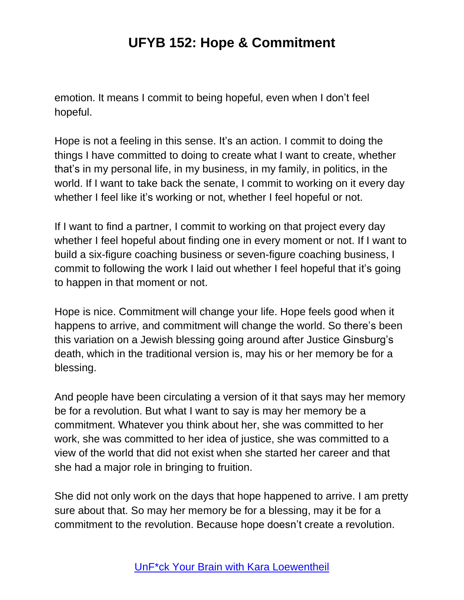emotion. It means I commit to being hopeful, even when I don't feel hopeful.

Hope is not a feeling in this sense. It's an action. I commit to doing the things I have committed to doing to create what I want to create, whether that's in my personal life, in my business, in my family, in politics, in the world. If I want to take back the senate, I commit to working on it every day whether I feel like it's working or not, whether I feel hopeful or not.

If I want to find a partner, I commit to working on that project every day whether I feel hopeful about finding one in every moment or not. If I want to build a six-figure coaching business or seven-figure coaching business, I commit to following the work I laid out whether I feel hopeful that it's going to happen in that moment or not.

Hope is nice. Commitment will change your life. Hope feels good when it happens to arrive, and commitment will change the world. So there's been this variation on a Jewish blessing going around after Justice Ginsburg's death, which in the traditional version is, may his or her memory be for a blessing.

And people have been circulating a version of it that says may her memory be for a revolution. But what I want to say is may her memory be a commitment. Whatever you think about her, she was committed to her work, she was committed to her idea of justice, she was committed to a view of the world that did not exist when she started her career and that she had a major role in bringing to fruition.

She did not only work on the days that hope happened to arrive. I am pretty sure about that. So may her memory be for a blessing, may it be for a commitment to the revolution. Because hope doesn't create a revolution.